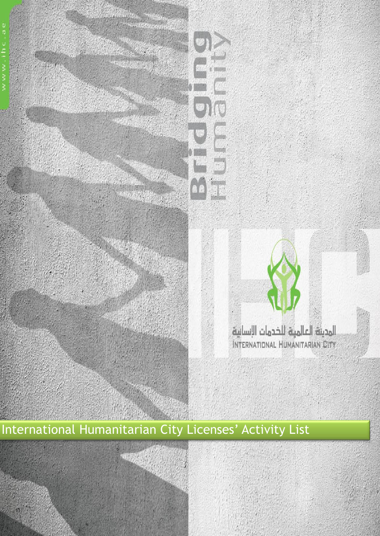

# International Humanitarian City Licenses' Activity List

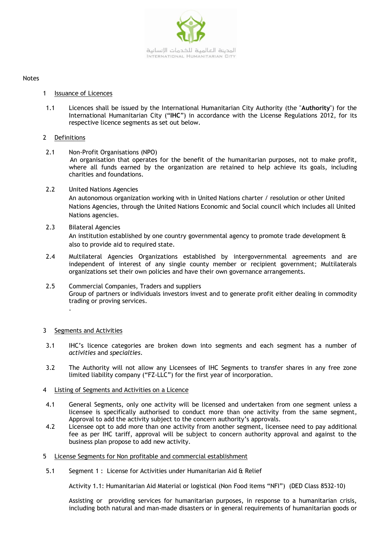

#### Notes

- 1 Issuance of Licences
- 1.1 Licences shall be issued by the International Humanitarian City Authority (the "**Authority**") for the International Humanitarian City ("**IHC**") in accordance with the License Regulations 2012, for its respective licence segments as set out below.

## 2 Definitions

- 2.1 Non-Profit Organisations (NPO) An organisation that operates for the benefit of the humanitarian purposes, not to make profit, where all funds earned by the organization are retained to help achieve its goals, including charities and foundations.
- 2.2 United Nations Agencies An autonomous organization working with in United Nations charter / resolution or other United Nations Agencies, through the United Nations Economic and Social council which includes all United Nations agencies.
- 2.3 Bilateral Agencies

An institution established by one country governmental agency to promote trade development & also to provide aid to required state.

- 2.4 Multilateral Agencies Organizations established by intergovernmental agreements and are independent of interest of any single county member or recipient government; Multilaterals organizations set their own policies and have their own governance arrangements.
- 2.5 Commercial Companies, Traders and suppliers Group of partners or individuals investors invest and to generate profit either dealing in commodity trading or proving services. .

## 3 Segments and Activities

- 3.1 IHC's licence categories are broken down into segments and each segment has a number of *activities* and *specialties*.
- 3.2 The Authority will not allow any Licensees of IHC Segments to transfer shares in any free zone limited liability company ("FZ-LLC") for the first year of incorporation.
- 4 Listing of Segments and Activities on a Licence
- 4.1 General Segments, only one activity will be licensed and undertaken from one segment unless a licensee is specifically authorised to conduct more than one activity from the same segment, Approval to add the activity subject to the concern authority's approvals.
- 4.2 Licensee opt to add more than one activity from another segment, licensee need to pay additional fee as per IHC tariff, approval will be subject to concern authority approval and against to the business plan propose to add new activity.
- 5 License Segments for Non profitable and commercial establishment
- 5.1 Segment 1 : License for Activities under Humanitarian Aid & Relief

Activity 1.1: Humanitarian Aid Material or logistical (Non Food items "NFI") (DED Class 8532-10)

Assisting or providing services for humanitarian purposes, in response to a humanitarian crisis, including both natural and man-made disasters or in general requirements of humanitarian goods or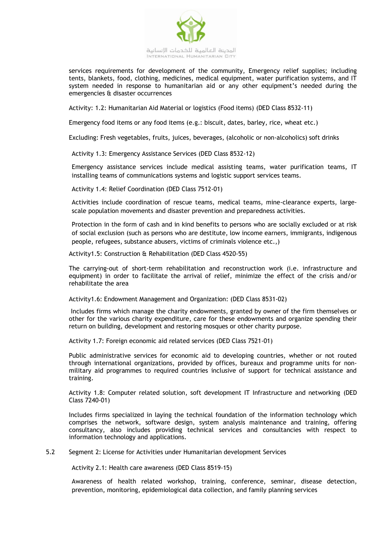

services requirements for development of the community, Emergency relief supplies; including tents, blankets, food, clothing, medicines, medical equipment, water purification systems, and IT system needed in response to humanitarian aid or any other equipment's needed during the emergencies & disaster occurrences

Activity: 1.2: Humanitarian Aid Material or logistics (Food items) (DED Class 8532-11)

Emergency food items or any food items (e.g.: biscuit, dates, barley, rice, wheat etc.)

Excluding: Fresh vegetables, fruits, juices, beverages, (alcoholic or non-alcoholics) soft drinks

Activity 1.3: Emergency Assistance Services (DED Class 8532-12)

Emergency assistance services include medical assisting teams, water purification teams, IT installing teams of communications systems and logistic support services teams.

Activity 1.4: Relief Coordination (DED Class 7512-01)

Activities include coordination of rescue teams, medical teams, mine-clearance experts, largescale population movements and disaster prevention and preparedness activities.

Protection in the form of cash and in kind benefits to persons who are socially excluded or at risk of social exclusion (such as persons who are destitute, low income earners, immigrants, indigenous people, refugees, substance abusers, victims of criminals violence etc.,)

Activity1.5: Construction & Rehabilitation (DED Class 4520-55)

The carrying-out of short-term rehabilitation and reconstruction work (i.e. infrastructure and equipment) in order to facilitate the arrival of relief, minimize the effect of the crisis and/or rehabilitate the area

Activity1.6: Endowment Management and Organization: (DED Class 8531-02)

Includes firms which manage the charity endowments, granted by owner of the firm themselves or other for the various charity expenditure, care for these endowments and organize spending their return on building, development and restoring mosques or other charity purpose.

Activity 1.7: Foreign economic aid related services (DED Class 7521-01)

Public administrative services for economic aid to developing countries, whether or not routed through international organizations, provided by offices, bureaux and programme units for nonmilitary aid programmes to required countries inclusive of support for technical assistance and training.

Activity 1.8: Computer related solution, soft development IT Infrastructure and networking (DED Class 7240-01)

Includes firms specialized in laying the technical foundation of the information technology which comprises the network, software design, system analysis maintenance and training, offering consultancy, also includes providing technical services and consultancies with respect to information technology and applications.

5.2 Segment 2: License for Activities under Humanitarian development Services

Activity 2.1: Health care awareness (DED Class 8519-15)

Awareness of health related workshop, training, conference, seminar, disease detection, prevention, monitoring, epidemiological data collection, and family planning services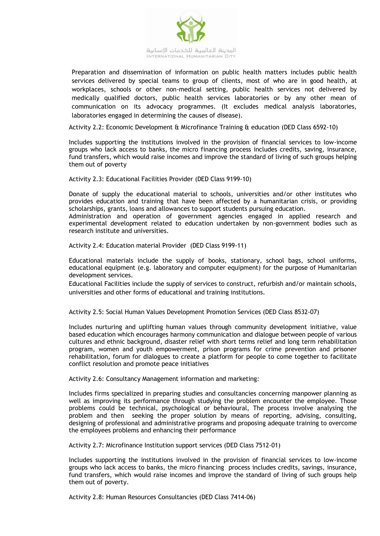

Preparation and dissemination of information on public health matters includes public health services delivered by special teams to group of clients, most of who are in good health, at workplaces, schools or other non-medical setting, public health services not delivered by medically qualified doctors, public health services laboratories or by any other mean of communication on its advocacy programmes. (It excludes medical analysis laboratories, laboratories engaged in determining the causes of disease).

Activity 2.2: Economic Development & Microfinance Training & education (DED Class 6592-10)

Includes supporting the institutions involved in the provision of financial services to low-income groups who lack access to banks, the micro financing process includes credits, saving, insurance, fund transfers, which would raise incomes and improve the standard of living of such groups helping them out of poverty

Activity 2.3: Educational Facilities Provider (DED Class 9199-10)

Donate of supply the educational material to schools, universities and/or other institutes who provides education and training that have been affected by a humanitarian crisis, or providing scholarships, grants, loans and allowances to support students pursuing education.

Administration and operation of government agencies engaged in applied research and experimental development related to education undertaken by non-government bodies such as research institute and universities.

Activity 2.4: Education material Provider (DED Class 9199-11)

Educational materials include the supply of books, stationary, school bags, school uniforms, educational equipment (e.g. laboratory and computer equipment) for the purpose of Humanitarian development services.

Educational Facilities include the supply of services to construct, refurbish and/or maintain schools, universities and other forms of educational and training institutions.

Activity 2.5: Social Human Values Development Promotion Services (DED Class 8532-07)

Includes nurturing and uplifting human values through community development initiative, value based education which encourages harmony communication and dialogue between people of various cultures and ethnic background, disaster relief with short terms relief and long term rehabilitation program, women and youth empowerment, prison programs for crime prevention and prisoner rehabilitation, forum for dialogues to create a platform for people to come together to facilitate conflict resolution and promote peace initiatives

Activity 2.6: Consultancy Management information and marketing:

Includes firms specialized in preparing studies and consultancies concerning manpower planning as well as improving its performance through studying the problem encounter the employee. Those problems could be technical, psychological or behavioural, The process involve analysing the problem and then seeking the proper solution by means of reporting, advising, consulting, designing of professional and administrative programs and proposing adequate training to overcome the employees problems and enhancing their performance

Activity 2.7: Microfinance Institution support services (DED Class 7512-01)

Includes supporting the institutions involved in the provision of financial services to low-income groups who lack access to banks, the micro financing process includes credits, savings, insurance, fund transfers, which would raise incomes and improve the standard of living of such groups help them out of poverty.

Activity 2.8: Human Resources Consultancies (DED Class 7414-06)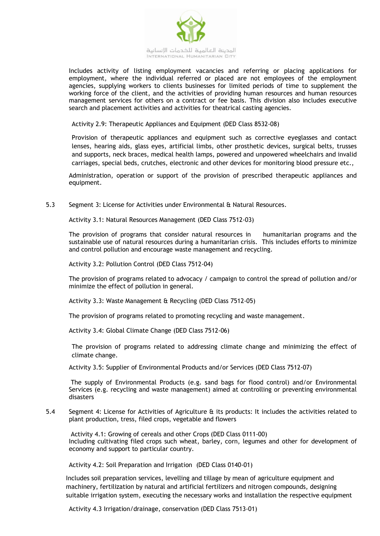

Includes activity of listing employment vacancies and referring or placing applications for employment, where the individual referred or placed are not employees of the employment agencies, supplying workers to clients businesses for limited periods of time to supplement the working force of the client, and the activities of providing human resources and human resources management services for others on a contract or fee basis. This division also includes executive search and placement activities and activities for theatrical casting agencies.

Activity 2.9: Therapeutic Appliances and Equipment (DED Class 8532-08)

Provision of therapeutic appliances and equipment such as corrective eyeglasses and contact lenses, hearing aids, glass eyes, artificial limbs, other prosthetic devices, surgical belts, trusses and supports, neck braces, medical health lamps, powered and unpowered wheelchairs and invalid carriages, special beds, crutches, electronic and other devices for monitoring blood pressure etc.,

Administration, operation or support of the provision of prescribed therapeutic appliances and equipment.

5.3 Segment 3: License for Activities under Environmental & Natural Resources.

Activity 3.1: Natural Resources Management (DED Class 7512-03)

The provision of programs that consider natural resources in humanitarian programs and the sustainable use of natural resources during a humanitarian crisis. This includes efforts to minimize and control pollution and encourage waste management and recycling.

Activity 3.2: Pollution Control (DED Class 7512-04)

The provision of programs related to advocacy / campaign to control the spread of pollution and/or minimize the effect of pollution in general.

Activity 3.3: Waste Management & Recycling (DED Class 7512-05)

The provision of programs related to promoting recycling and waste management.

Activity 3.4: Global Climate Change (DED Class 7512-06)

The provision of programs related to addressing climate change and minimizing the effect of climate change.

Activity 3.5: Supplier of Environmental Products and/or Services (DED Class 7512-07)

The supply of Environmental Products (e.g. sand bags for flood control) and/or Environmental Services (e.g. recycling and waste management) aimed at controlling or preventing environmental disasters

5.4 Segment 4: License for Activities of Agriculture & its products: It includes the activities related to plant production, tress, filed crops, vegetable and flowers

Activity 4.1: Growing of cereals and other Crops (DED Class 0111-00) Including cultivating filed crops such wheat, barley, corn, legumes and other for development of economy and support to particular country.

Activity 4.2: Soil Preparation and Irrigation (DED Class 0140-01)

Includes soil preparation services, levelling and tillage by mean of agriculture equipment and machinery, fertilization by natural and artificial fertilizers and nitrogen compounds, designing suitable irrigation system, executing the necessary works and installation the respective equipment

Activity 4.3 Irrigation/drainage, conservation (DED Class 7513-01)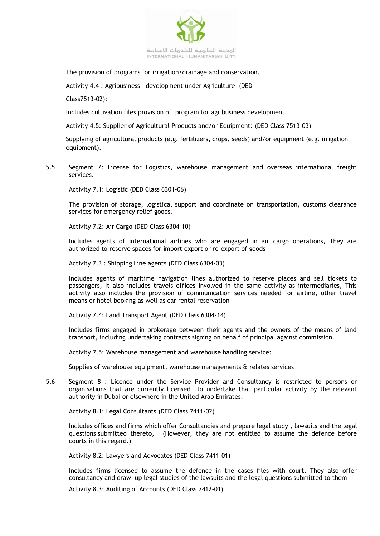

The provision of programs for irrigation/drainage and conservation.

Activity 4.4 : Agribusiness development under Agriculture (DED

Class7513-02):

Includes cultivation files provision of program for agribusiness development.

Activity 4.5: Supplier of Agricultural Products and/or Equipment: (DED Class 7513-03)

Supplying of agricultural products (e.g. fertilizers, crops, seeds) and/or equipment (e.g. irrigation equipment).

5.5 Segment 7: License for Logistics, warehouse management and overseas international freight services.

Activity 7.1: Logistic (DED Class 6301-06)

The provision of storage, logistical support and coordinate on transportation, customs clearance services for emergency relief goods*.*

Activity 7.2: Air Cargo (DED Class 6304-10)

Includes agents of international airlines who are engaged in air cargo operations, They are authorized to reserve spaces for import export or re-export of goods

Activity 7.3 : Shipping Line agents (DED Class 6304-03)

Includes agents of maritime navigation lines authorized to reserve places and sell tickets to passengers, It also includes travels offices involved in the same activity as intermediaries, This activity also includes the provision of communication services needed for airline, other travel means or hotel booking as well as car rental reservation

Activity 7.4: Land Transport Agent (DED Class 6304-14)

Includes firms engaged in brokerage between their agents and the owners of the means of land transport, including undertaking contracts signing on behalf of principal against commission.

Activity 7.5: Warehouse management and warehouse handling service:

Supplies of warehouse equipment, warehouse managements & relates services

5.6 Segment 8 : Licence under the Service Provider and Consultancy is restricted to persons or organisations that are currently licensed to undertake that particular activity by the relevant authority in Dubai or elsewhere in the United Arab Emirates:

Activity 8.1: Legal Consultants (DED Class 7411-02)

Includes offices and firms which offer Consultancies and prepare legal study , lawsuits and the legal questions submitted thereto, (However, they are not entitled to assume the defence before courts in this regard.)

Activity 8.2: Lawyers and Advocates (DED Class 7411-01)

Includes firms licensed to assume the defence in the cases files with court, They also offer consultancy and draw up legal studies of the lawsuits and the legal questions submitted to them

Activity 8.3: Auditing of Accounts (DED Class 7412-01)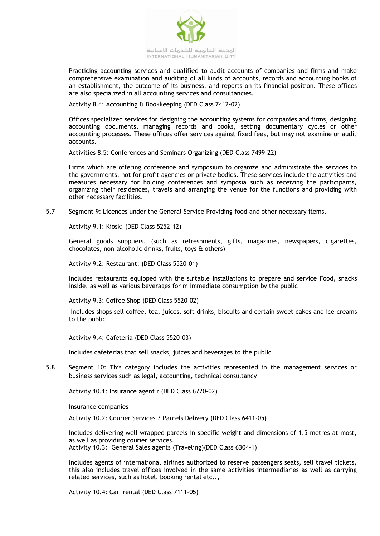

Practicing accounting services and qualified to audit accounts of companies and firms and make comprehensive examination and auditing of all kinds of accounts, records and accounting books of an establishment, the outcome of its business, and reports on its financial position. These offices are also specialized in all accounting services and consultancies.

Activity 8.4: Accounting & Bookkeeping (DED Class 7412-02)

Offices specialized services for designing the accounting systems for companies and firms, designing accounting documents, managing records and books, setting documentary cycles or other accounting processes. These offices offer services against fixed fees, but may not examine or audit accounts.

Activities 8.5: Conferences and Seminars Organizing (DED Class 7499-22)

Firms which are offering conference and symposium to organize and administrate the services to the governments, not for profit agencies or private bodies. These services include the activities and measures necessary for holding conferences and symposia such as receiving the participants, organizing their residences, travels and arranging the venue for the functions and providing with other necessary facilities.

5.7 Segment 9: Licences under the General Service Providing food and other necessary items.

Activity 9.1: Kiosk: (DED Class 5252-12)

General goods suppliers, (such as refreshments, gifts, magazines, newspapers, cigarettes, chocolates, non-alcoholic drinks, fruits, toys & others)

Activity 9.2: Restaurant: (DED Class 5520-01)

Includes restaurants equipped with the suitable installations to prepare and service Food, snacks inside, as well as various beverages for m immediate consumption by the public

Activity 9.3: Coffee Shop (DED Class 5520-02)

Includes shops sell coffee, tea, juices, soft drinks, biscuits and certain sweet cakes and ice-creams to the public

Activity 9.4: Cafeteria (DED Class 5520-03)

Includes cafeterias that sell snacks, juices and beverages to the public

5.8 Segment 10: This category includes the activities represented in the management services or business services such as legal, accounting, technical consultancy

Activity 10.1: Insurance agent r (DED Class 6720-02)

Insurance companies

Activity 10.2: Courier Services / Parcels Delivery (DED Class 6411-05)

Includes delivering well wrapped parcels in specific weight and dimensions of 1.5 metres at most, as well as providing courier services. Activity 10.3: General Sales agents (Traveling)(DED Class 6304-1)

Includes agents of international airlines authorized to reserve passengers seats, sell travel tickets, this also includes travel offices involved in the same activities intermediaries as well as carrying related services, such as hotel, booking rental etc..,

Activity 10.4: Car rental (DED Class 7111-05)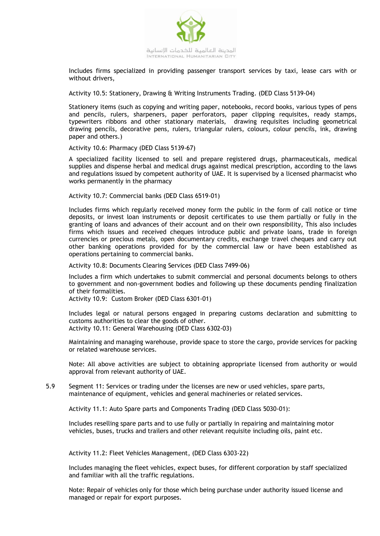

Includes firms specialized in providing passenger transport services by taxi, lease cars with or without drivers,

Activity 10.5: Stationery, Drawing & Writing Instruments Trading. (DED Class 5139-04)

Stationery items (such as copying and writing paper, notebooks, record books, various types of pens and pencils, rulers, sharpeners, paper perforators, paper clipping requisites, ready stamps, typewriters ribbons and other stationary materials, drawing requisites including geometrical drawing pencils, decorative pens, rulers, triangular rulers, colours, colour pencils, ink, drawing paper and others.)

Activity 10.6: Pharmacy (DED Class 5139-67)

A specialized facility licensed to sell and prepare registered drugs, pharmaceuticals, medical supplies and dispense herbal and medical drugs against medical prescription, according to the laws and regulations issued by competent authority of UAE. It is supervised by a licensed pharmacist who works permanently in the pharmacy

Activity 10.7: Commercial banks (DED Class 6519-01)

Includes firms which regularly received money form the public in the form of call notice or time deposits, or invest loan instruments or deposit certificates to use them partially or fully in the granting of loans and advances of their account and on their own responsibility, This also includes firms which issues and received cheques introduce public and private loans, trade in foreign currencies or precious metals, open documentary credits, exchange travel cheques and carry out other banking operations provided for by the commercial law or have been established as operations pertaining to commercial banks.

Activity 10.8: Documents Clearing Services (DED Class 7499-06)

Includes a firm which undertakes to submit commercial and personal documents belongs to others to government and non-government bodies and following up these documents pending finalization of their formalities.

Activity 10.9: Custom Broker (DED Class 6301-01)

Includes legal or natural persons engaged in preparing customs declaration and submitting to customs authorities to clear the goods of other. Activity 10.11: General Warehousing (DED Class 6302-03)

Maintaining and managing warehouse, provide space to store the cargo, provide services for packing or related warehouse services.

Note: All above activities are subject to obtaining appropriate licensed from authority or would approval from relevant authority of UAE.

5.9 Segment 11: Services or trading under the licenses are new or used vehicles, spare parts, maintenance of equipment, vehicles and general machineries or related services.

Activity 11.1: Auto Spare parts and Components Trading (DED Class 5030-01):

Includes reselling spare parts and to use fully or partially in repairing and maintaining motor vehicles, buses, trucks and trailers and other relevant requisite including oils, paint etc.

Activity 11.2: Fleet Vehicles Management, (DED Class 6303-22)

Includes managing the fleet vehicles, expect buses, for different corporation by staff specialized and familiar with all the traffic regulations.

Note: Repair of vehicles only for those which being purchase under authority issued license and managed or repair for export purposes.